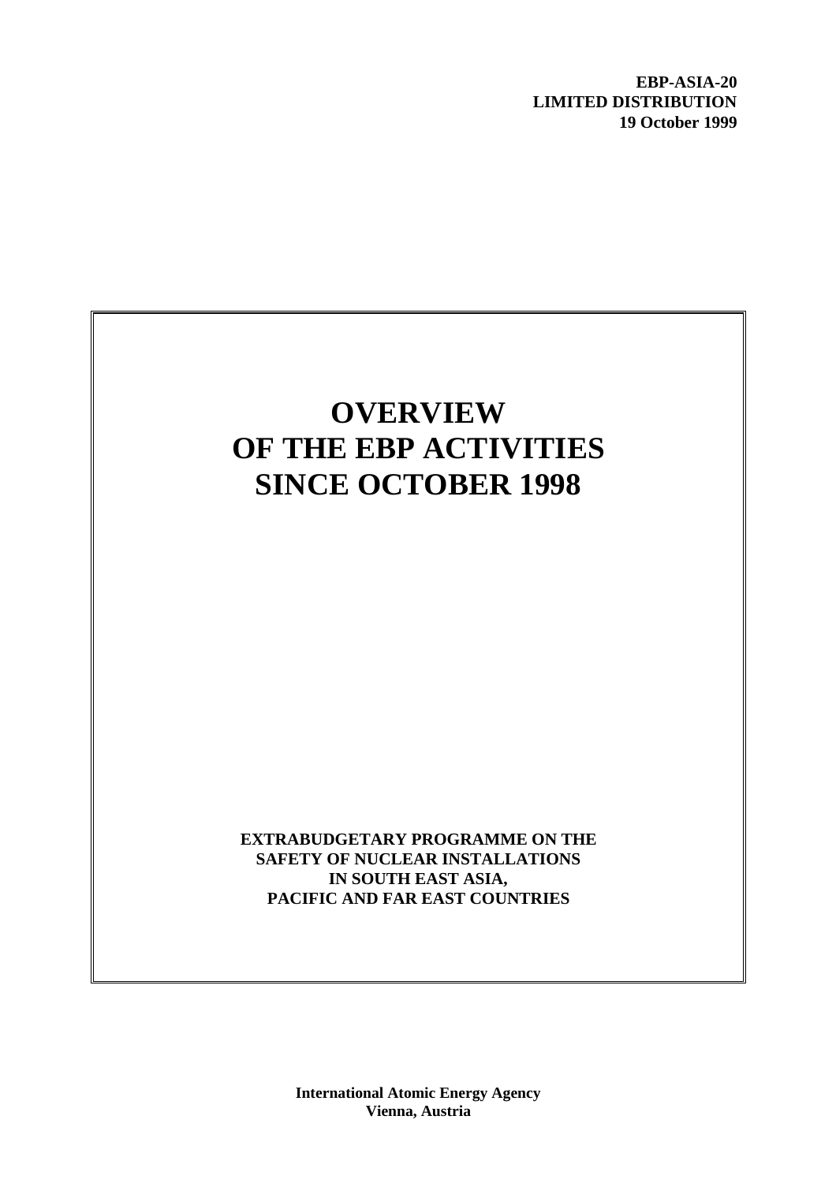**EBP-ASIA-20 LIMITED DISTRIBUTION 19 October 1999**

# **OVERVIEW OF THE EBP ACTIVITIES SINCE OCTOBER 1998**

**EXTRABUDGETARY PROGRAMME ON THE SAFETY OF NUCLEAR INSTALLATIONS IN SOUTH EAST ASIA, PACIFIC AND FAR EAST COUNTRIES**

> **International Atomic Energy Agency Vienna, Austria**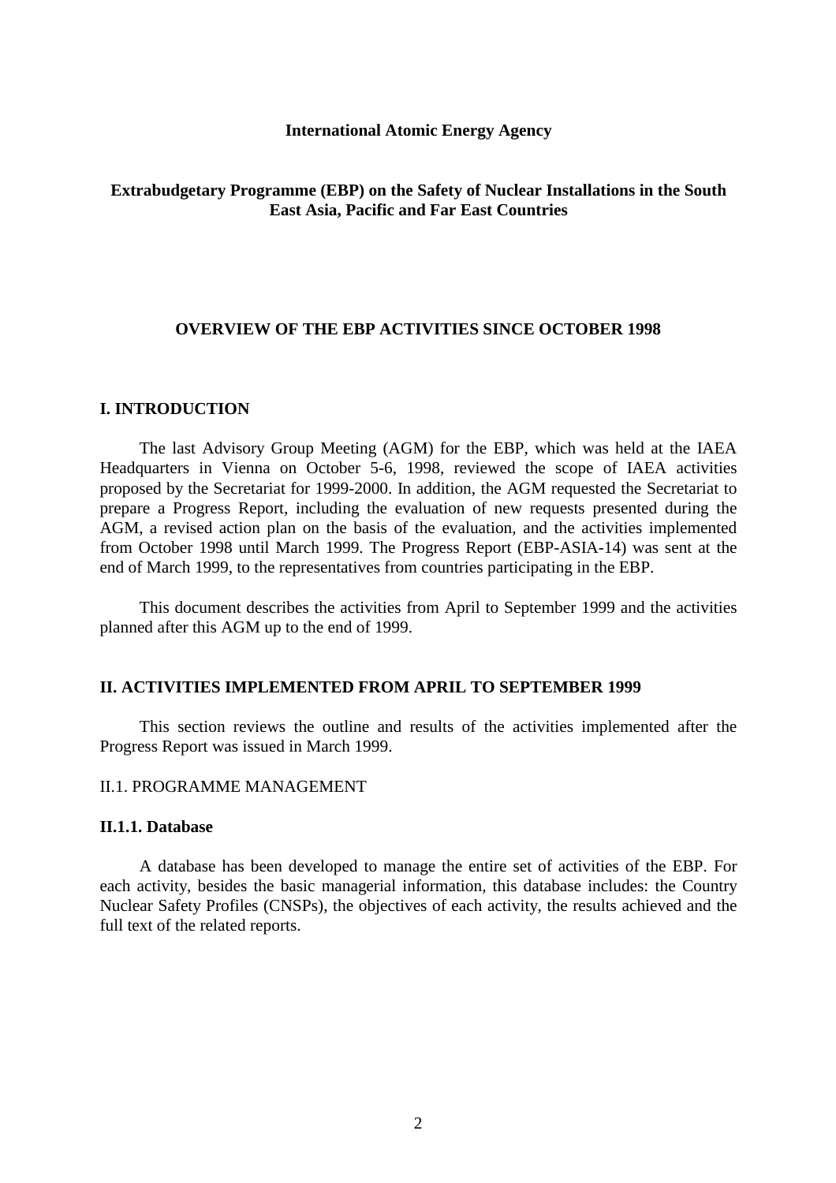#### **International Atomic Energy Agency**

#### **Extrabudgetary Programme (EBP) on the Safety of Nuclear Installations in the South East Asia, Pacific and Far East Countries**

#### **OVERVIEW OF THE EBP ACTIVITIES SINCE OCTOBER 1998**

#### **I. INTRODUCTION**

The last Advisory Group Meeting (AGM) for the EBP, which was held at the IAEA Headquarters in Vienna on October 5-6, 1998, reviewed the scope of IAEA activities proposed by the Secretariat for 1999-2000. In addition, the AGM requested the Secretariat to prepare a Progress Report, including the evaluation of new requests presented during the AGM, a revised action plan on the basis of the evaluation, and the activities implemented from October 1998 until March 1999. The Progress Report (EBP-ASIA-14) was sent at the end of March 1999, to the representatives from countries participating in the EBP.

This document describes the activities from April to September 1999 and the activities planned after this AGM up to the end of 1999.

#### **II. ACTIVITIES IMPLEMENTED FROM APRIL TO SEPTEMBER 1999**

This section reviews the outline and results of the activities implemented after the Progress Report was issued in March 1999.

#### II.1. PROGRAMME MANAGEMENT

### **II.1.1. Database**

A database has been developed to manage the entire set of activities of the EBP. For each activity, besides the basic managerial information, this database includes: the Country Nuclear Safety Profiles (CNSPs), the objectives of each activity, the results achieved and the full text of the related reports.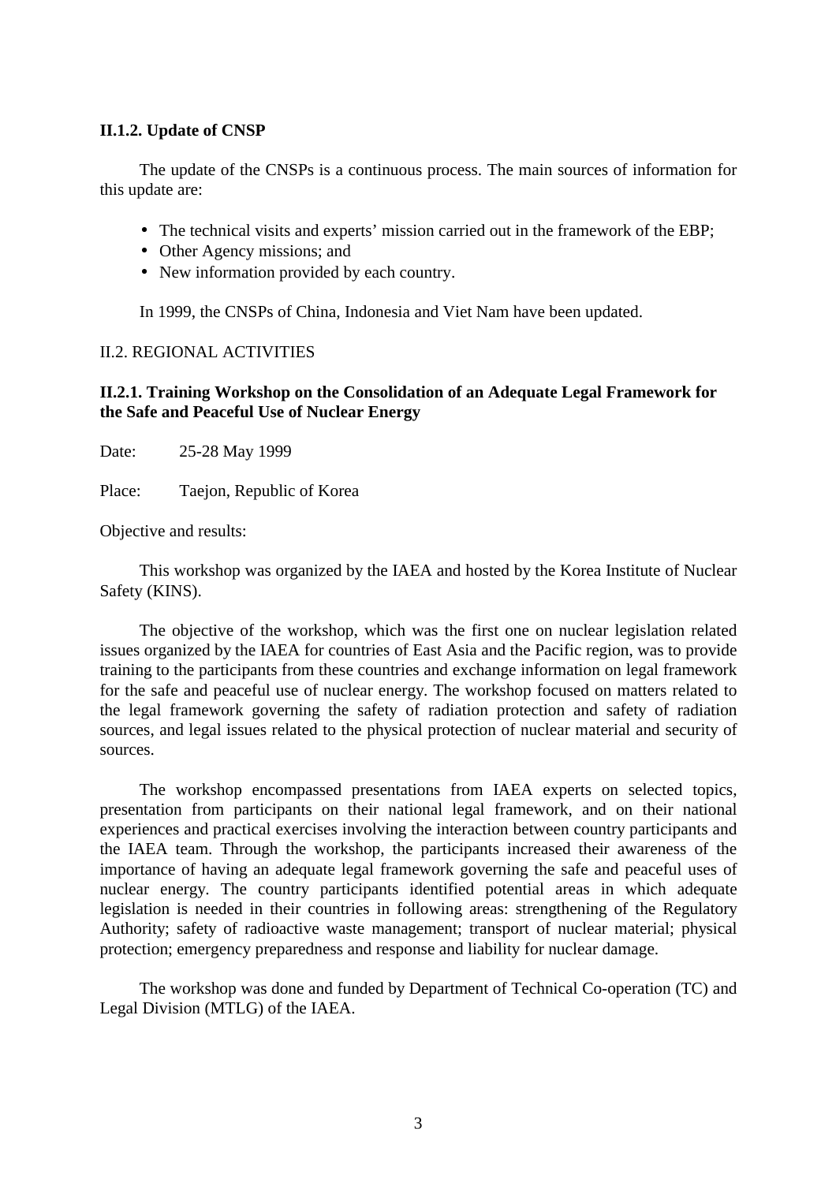### **II.1.2. Update of CNSP**

The update of the CNSPs is a continuous process. The main sources of information for this update are:

- The technical visits and experts' mission carried out in the framework of the EBP;
- Other Agency missions; and
- New information provided by each country.

In 1999, the CNSPs of China, Indonesia and Viet Nam have been updated.

#### II.2. REGIONAL ACTIVITIES

## **II.2.1. Training Workshop on the Consolidation of an Adequate Legal Framework for the Safe and Peaceful Use of Nuclear Energy**

Date: 25-28 May 1999

Place: Taejon, Republic of Korea

Objective and results:

This workshop was organized by the IAEA and hosted by the Korea Institute of Nuclear Safety (KINS).

The objective of the workshop, which was the first one on nuclear legislation related issues organized by the IAEA for countries of East Asia and the Pacific region, was to provide training to the participants from these countries and exchange information on legal framework for the safe and peaceful use of nuclear energy. The workshop focused on matters related to the legal framework governing the safety of radiation protection and safety of radiation sources, and legal issues related to the physical protection of nuclear material and security of sources.

The workshop encompassed presentations from IAEA experts on selected topics, presentation from participants on their national legal framework, and on their national experiences and practical exercises involving the interaction between country participants and the IAEA team. Through the workshop, the participants increased their awareness of the importance of having an adequate legal framework governing the safe and peaceful uses of nuclear energy. The country participants identified potential areas in which adequate legislation is needed in their countries in following areas: strengthening of the Regulatory Authority; safety of radioactive waste management; transport of nuclear material; physical protection; emergency preparedness and response and liability for nuclear damage.

The workshop was done and funded by Department of Technical Co-operation (TC) and Legal Division (MTLG) of the IAEA.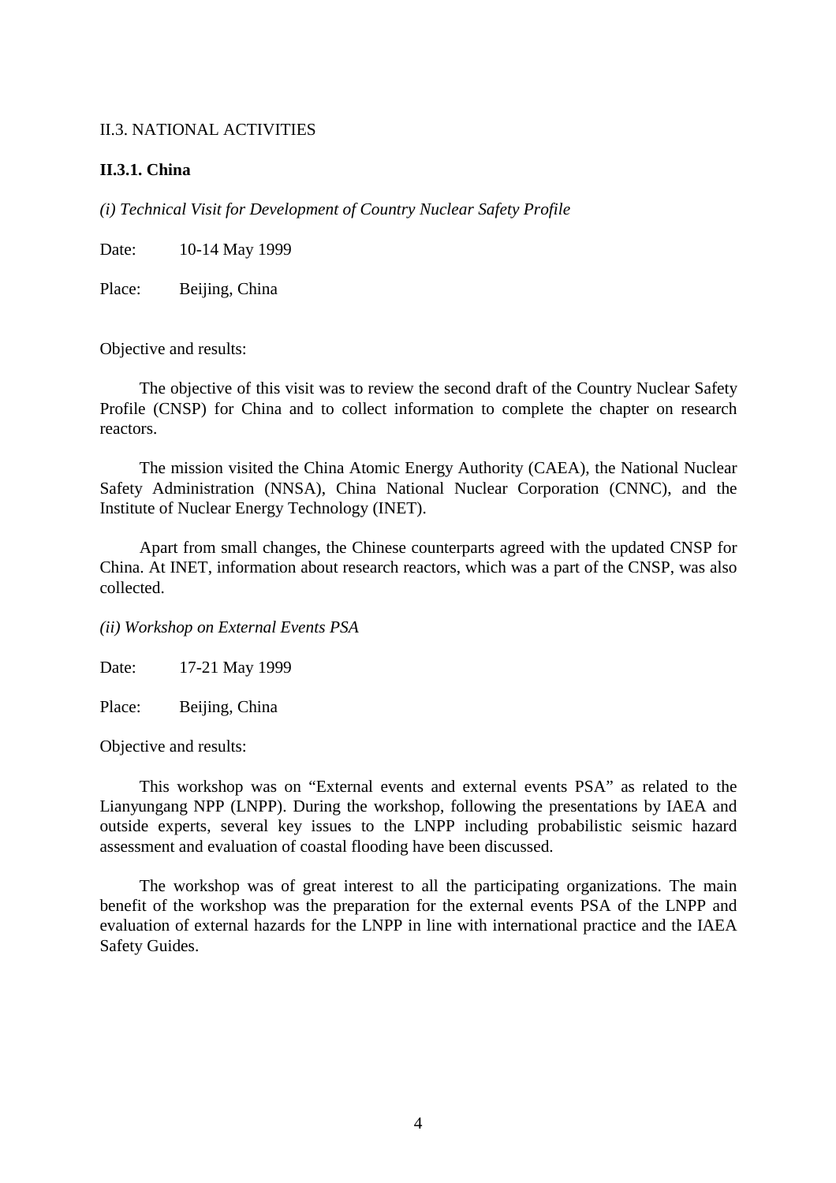#### II.3. NATIONAL ACTIVITIES

#### **II.3.1. China**

*(i) Technical Visit for Development of Country Nuclear Safety Profile*

Date: 10-14 May 1999

Place: Beijing, China

Objective and results:

The objective of this visit was to review the second draft of the Country Nuclear Safety Profile (CNSP) for China and to collect information to complete the chapter on research reactors.

The mission visited the China Atomic Energy Authority (CAEA), the National Nuclear Safety Administration (NNSA), China National Nuclear Corporation (CNNC), and the Institute of Nuclear Energy Technology (INET).

Apart from small changes, the Chinese counterparts agreed with the updated CNSP for China. At INET, information about research reactors, which was a part of the CNSP, was also collected.

#### *(ii) Workshop on External Events PSA*

Date: 17-21 May 1999

Place: Beijing, China

Objective and results:

This workshop was on "External events and external events PSA" as related to the Lianyungang NPP (LNPP). During the workshop, following the presentations by IAEA and outside experts, several key issues to the LNPP including probabilistic seismic hazard assessment and evaluation of coastal flooding have been discussed.

The workshop was of great interest to all the participating organizations. The main benefit of the workshop was the preparation for the external events PSA of the LNPP and evaluation of external hazards for the LNPP in line with international practice and the IAEA Safety Guides.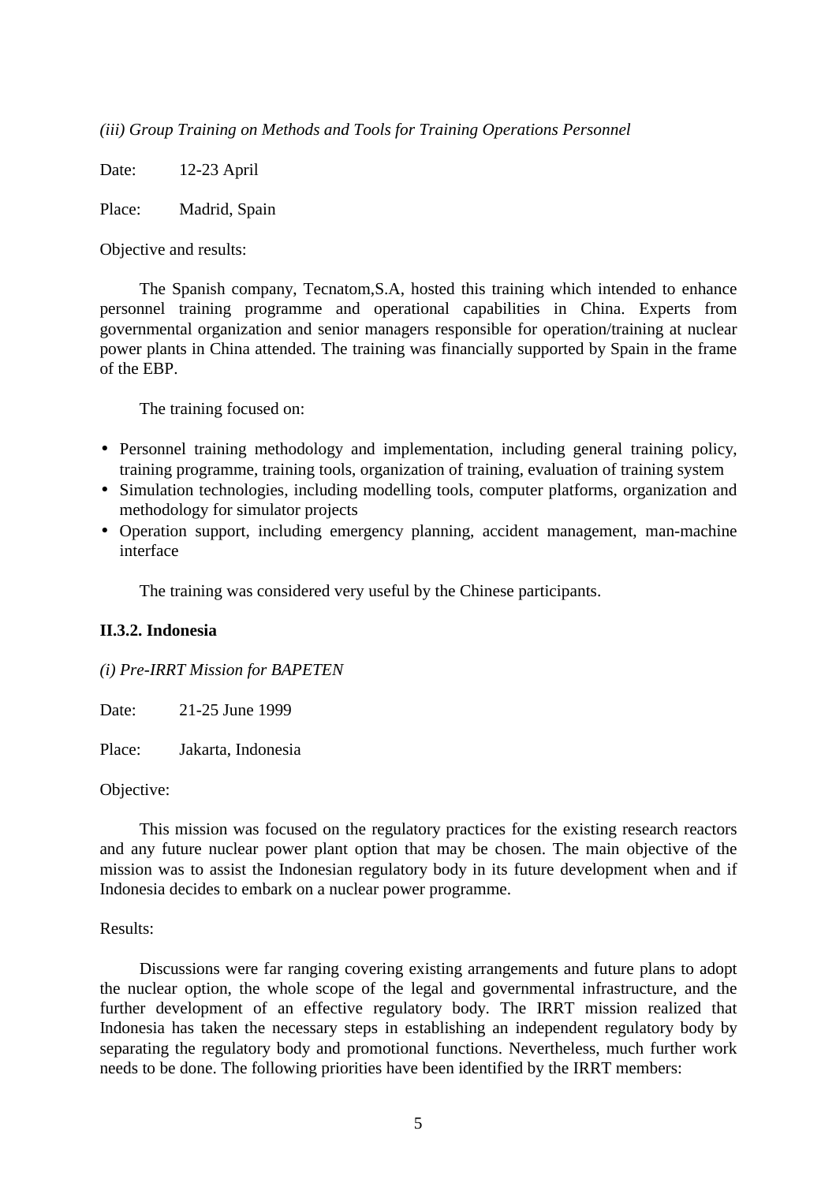*(iii) Group Training on Methods and Tools for Training Operations Personnel*

Date: 12-23 April

Place: Madrid, Spain

Objective and results:

The Spanish company, Tecnatom,S.A, hosted this training which intended to enhance personnel training programme and operational capabilities in China. Experts from governmental organization and senior managers responsible for operation/training at nuclear power plants in China attended. The training was financially supported by Spain in the frame of the EBP.

The training focused on:

- Personnel training methodology and implementation, including general training policy, training programme, training tools, organization of training, evaluation of training system
- Simulation technologies, including modelling tools, computer platforms, organization and methodology for simulator projects
- Operation support, including emergency planning, accident management, man-machine interface

The training was considered very useful by the Chinese participants.

### **II.3.2. Indonesia**

*(i) Pre-IRRT Mission for BAPETEN*

Date: 21-25 June 1999

Place: Jakarta, Indonesia

#### Objective:

This mission was focused on the regulatory practices for the existing research reactors and any future nuclear power plant option that may be chosen. The main objective of the mission was to assist the Indonesian regulatory body in its future development when and if Indonesia decides to embark on a nuclear power programme.

#### Results:

Discussions were far ranging covering existing arrangements and future plans to adopt the nuclear option, the whole scope of the legal and governmental infrastructure, and the further development of an effective regulatory body. The IRRT mission realized that Indonesia has taken the necessary steps in establishing an independent regulatory body by separating the regulatory body and promotional functions. Nevertheless, much further work needs to be done. The following priorities have been identified by the IRRT members: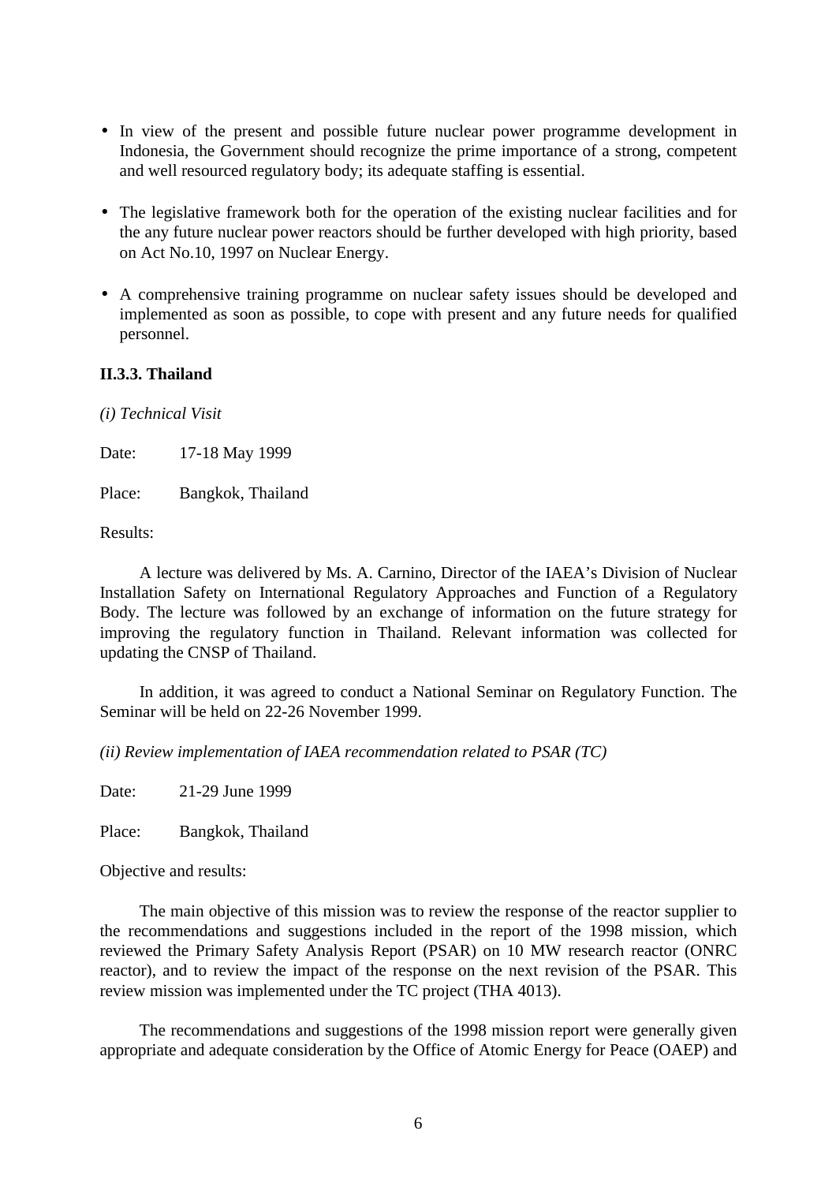- In view of the present and possible future nuclear power programme development in Indonesia, the Government should recognize the prime importance of a strong, competent and well resourced regulatory body; its adequate staffing is essential.
- The legislative framework both for the operation of the existing nuclear facilities and for the any future nuclear power reactors should be further developed with high priority, based on Act No.10, 1997 on Nuclear Energy.
- A comprehensive training programme on nuclear safety issues should be developed and implemented as soon as possible, to cope with present and any future needs for qualified personnel.

## **II.3.3. Thailand**

*(i) Technical Visit*

Date: 17-18 May 1999

Place: Bangkok, Thailand

Results:

A lecture was delivered by Ms. A. Carnino, Director of the IAEA's Division of Nuclear Installation Safety on International Regulatory Approaches and Function of a Regulatory Body. The lecture was followed by an exchange of information on the future strategy for improving the regulatory function in Thailand. Relevant information was collected for updating the CNSP of Thailand.

In addition, it was agreed to conduct a National Seminar on Regulatory Function. The Seminar will be held on 22-26 November 1999.

*(ii) Review implementation of IAEA recommendation related to PSAR (TC)*

Date: 21-29 June 1999

Place: Bangkok, Thailand

Objective and results:

The main objective of this mission was to review the response of the reactor supplier to the recommendations and suggestions included in the report of the 1998 mission, which reviewed the Primary Safety Analysis Report (PSAR) on 10 MW research reactor (ONRC reactor), and to review the impact of the response on the next revision of the PSAR. This review mission was implemented under the TC project (THA 4013).

The recommendations and suggestions of the 1998 mission report were generally given appropriate and adequate consideration by the Office of Atomic Energy for Peace (OAEP) and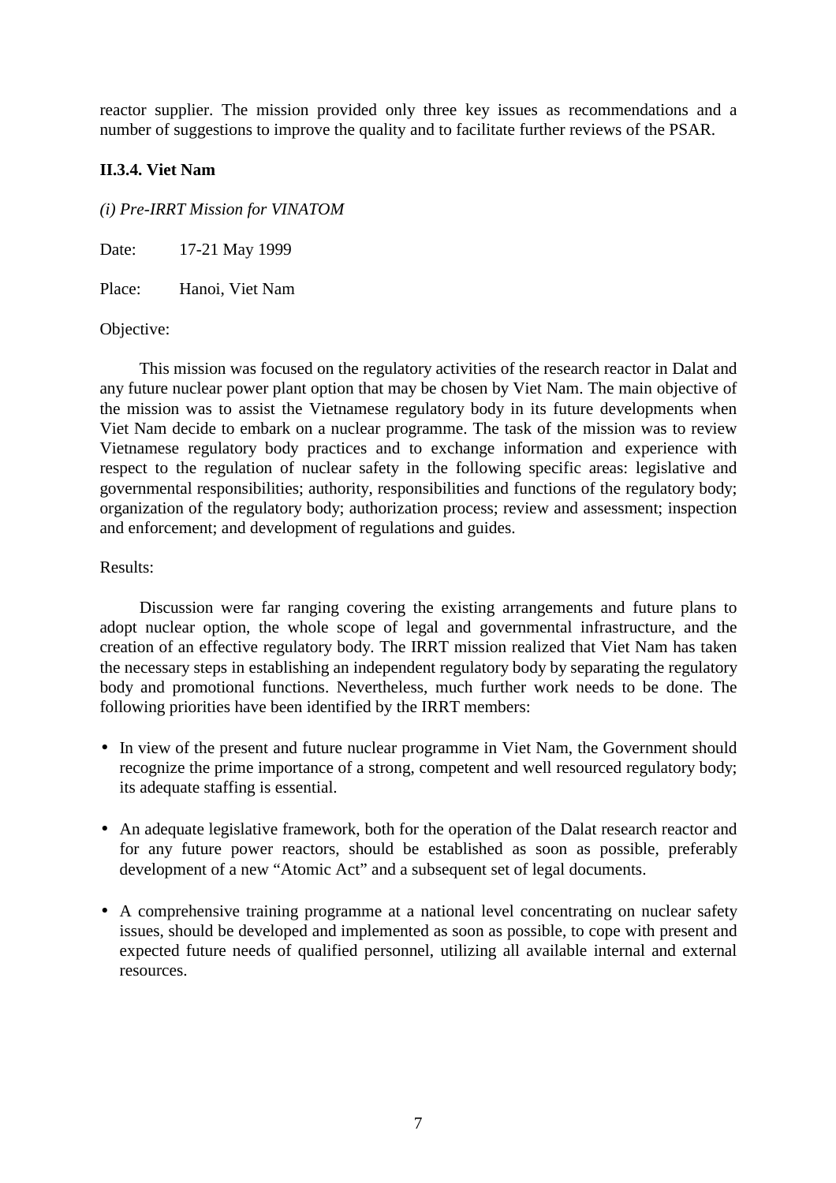reactor supplier. The mission provided only three key issues as recommendations and a number of suggestions to improve the quality and to facilitate further reviews of the PSAR.

## **II.3.4. Viet Nam**

## *(i) Pre-IRRT Mission for VINATOM*

Date: 17-21 May 1999

Place: Hanoi, Viet Nam

### Objective:

This mission was focused on the regulatory activities of the research reactor in Dalat and any future nuclear power plant option that may be chosen by Viet Nam. The main objective of the mission was to assist the Vietnamese regulatory body in its future developments when Viet Nam decide to embark on a nuclear programme. The task of the mission was to review Vietnamese regulatory body practices and to exchange information and experience with respect to the regulation of nuclear safety in the following specific areas: legislative and governmental responsibilities; authority, responsibilities and functions of the regulatory body; organization of the regulatory body; authorization process; review and assessment; inspection and enforcement; and development of regulations and guides.

### Results:

Discussion were far ranging covering the existing arrangements and future plans to adopt nuclear option, the whole scope of legal and governmental infrastructure, and the creation of an effective regulatory body. The IRRT mission realized that Viet Nam has taken the necessary steps in establishing an independent regulatory body by separating the regulatory body and promotional functions. Nevertheless, much further work needs to be done. The following priorities have been identified by the IRRT members:

- In view of the present and future nuclear programme in Viet Nam, the Government should recognize the prime importance of a strong, competent and well resourced regulatory body; its adequate staffing is essential.
- An adequate legislative framework, both for the operation of the Dalat research reactor and for any future power reactors, should be established as soon as possible, preferably development of a new "Atomic Act" and a subsequent set of legal documents.
- A comprehensive training programme at a national level concentrating on nuclear safety issues, should be developed and implemented as soon as possible, to cope with present and expected future needs of qualified personnel, utilizing all available internal and external resources.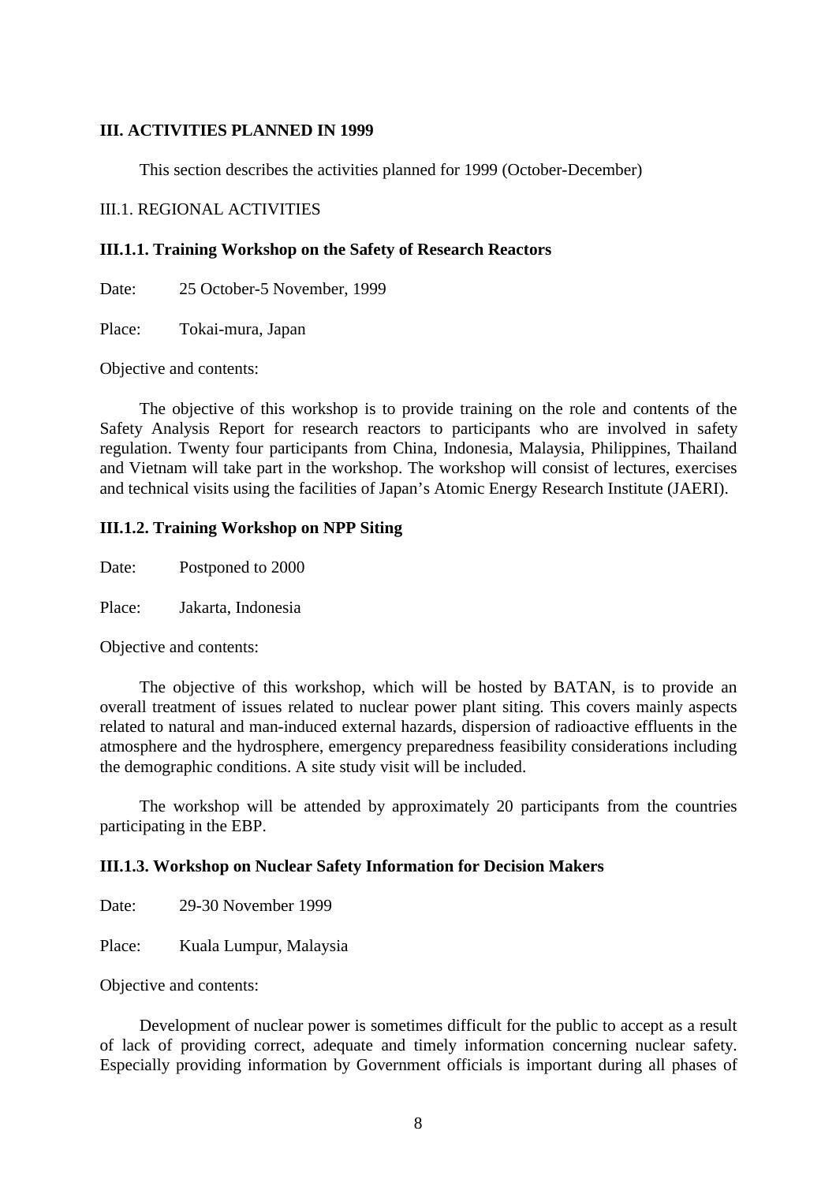#### **III. ACTIVITIES PLANNED IN 1999**

This section describes the activities planned for 1999 (October-December)

#### III.1. REGIONAL ACTIVITIES

#### **III.1.1. Training Workshop on the Safety of Research Reactors**

Date: 25 October-5 November, 1999

Place: Tokai-mura, Japan

Objective and contents:

The objective of this workshop is to provide training on the role and contents of the Safety Analysis Report for research reactors to participants who are involved in safety regulation. Twenty four participants from China, Indonesia, Malaysia, Philippines, Thailand and Vietnam will take part in the workshop. The workshop will consist of lectures, exercises and technical visits using the facilities of Japan's Atomic Energy Research Institute (JAERI).

### **III.1.2. Training Workshop on NPP Siting**

Date: Postponed to 2000

Place: Jakarta, Indonesia

Objective and contents:

The objective of this workshop, which will be hosted by BATAN, is to provide an overall treatment of issues related to nuclear power plant siting. This covers mainly aspects related to natural and man-induced external hazards, dispersion of radioactive effluents in the atmosphere and the hydrosphere, emergency preparedness feasibility considerations including the demographic conditions. A site study visit will be included.

The workshop will be attended by approximately 20 participants from the countries participating in the EBP.

### **III.1.3. Workshop on Nuclear Safety Information for Decision Makers**

Date: 29-30 November 1999

Place: Kuala Lumpur, Malaysia

Objective and contents:

Development of nuclear power is sometimes difficult for the public to accept as a result of lack of providing correct, adequate and timely information concerning nuclear safety. Especially providing information by Government officials is important during all phases of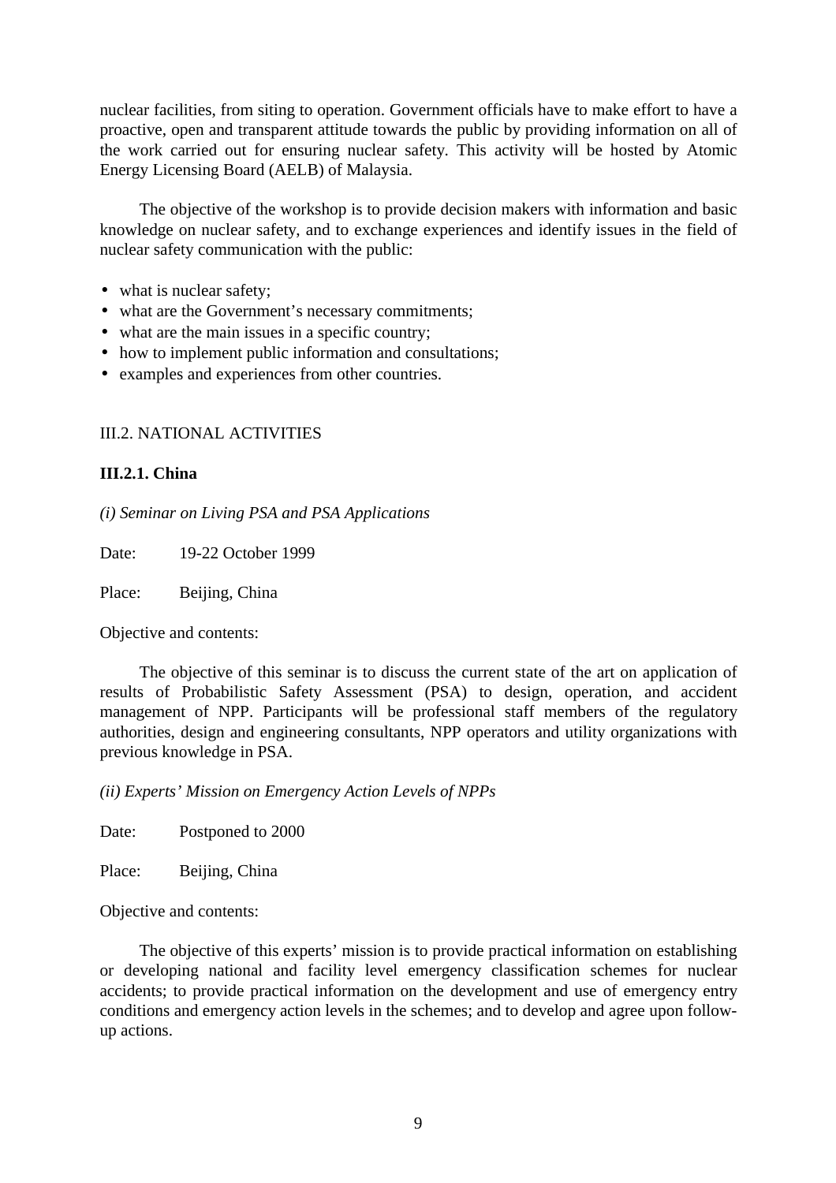nuclear facilities, from siting to operation. Government officials have to make effort to have a proactive, open and transparent attitude towards the public by providing information on all of the work carried out for ensuring nuclear safety. This activity will be hosted by Atomic Energy Licensing Board (AELB) of Malaysia.

The objective of the workshop is to provide decision makers with information and basic knowledge on nuclear safety, and to exchange experiences and identify issues in the field of nuclear safety communication with the public:

- what is nuclear safety;
- what are the Government's necessary commitments;
- what are the main issues in a specific country;
- how to implement public information and consultations;
- examples and experiences from other countries.

## III.2. NATIONAL ACTIVITIES

### **III.2.1. China**

*(i) Seminar on Living PSA and PSA Applications*

Date: 19-22 October 1999

Place: Beijing, China

Objective and contents:

The objective of this seminar is to discuss the current state of the art on application of results of Probabilistic Safety Assessment (PSA) to design, operation, and accident management of NPP. Participants will be professional staff members of the regulatory authorities, design and engineering consultants, NPP operators and utility organizations with previous knowledge in PSA.

*(ii) Experts' Mission on Emergency Action Levels of NPPs*

Date: Postponed to 2000

Place: Beijing, China

Objective and contents:

The objective of this experts' mission is to provide practical information on establishing or developing national and facility level emergency classification schemes for nuclear accidents; to provide practical information on the development and use of emergency entry conditions and emergency action levels in the schemes; and to develop and agree upon followup actions.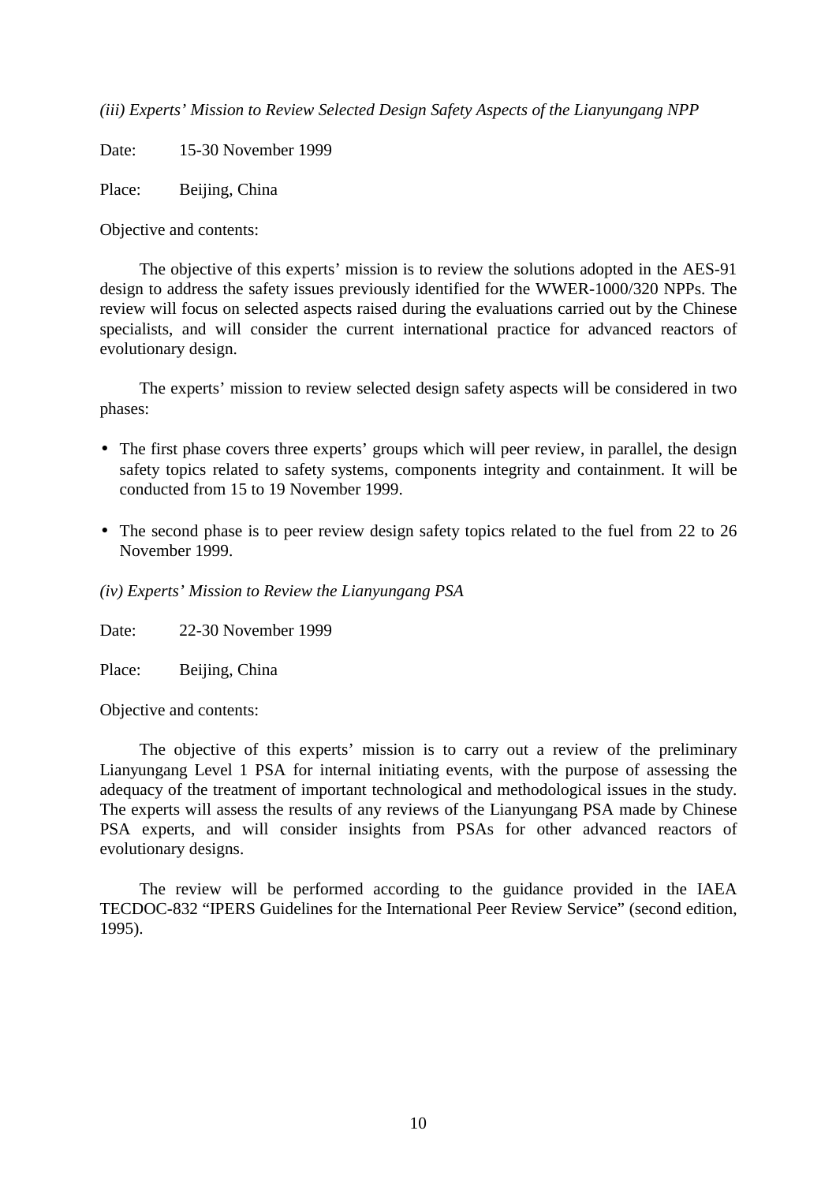*(iii) Experts' Mission to Review Selected Design Safety Aspects of the Lianyungang NPP*

Date: 15-30 November 1999

Place: Beijing, China

Objective and contents:

The objective of this experts' mission is to review the solutions adopted in the AES-91 design to address the safety issues previously identified for the WWER-1000/320 NPPs. The review will focus on selected aspects raised during the evaluations carried out by the Chinese specialists, and will consider the current international practice for advanced reactors of evolutionary design.

The experts' mission to review selected design safety aspects will be considered in two phases:

- The first phase covers three experts' groups which will peer review, in parallel, the design safety topics related to safety systems, components integrity and containment. It will be conducted from 15 to 19 November 1999.
- The second phase is to peer review design safety topics related to the fuel from 22 to 26 November 1999.

*(iv) Experts' Mission to Review the Lianyungang PSA*

Date: 22-30 November 1999

Place: Beijing, China

Objective and contents:

The objective of this experts' mission is to carry out a review of the preliminary Lianyungang Level 1 PSA for internal initiating events, with the purpose of assessing the adequacy of the treatment of important technological and methodological issues in the study. The experts will assess the results of any reviews of the Lianyungang PSA made by Chinese PSA experts, and will consider insights from PSAs for other advanced reactors of evolutionary designs.

The review will be performed according to the guidance provided in the IAEA TECDOC-832 "IPERS Guidelines for the International Peer Review Service" (second edition, 1995).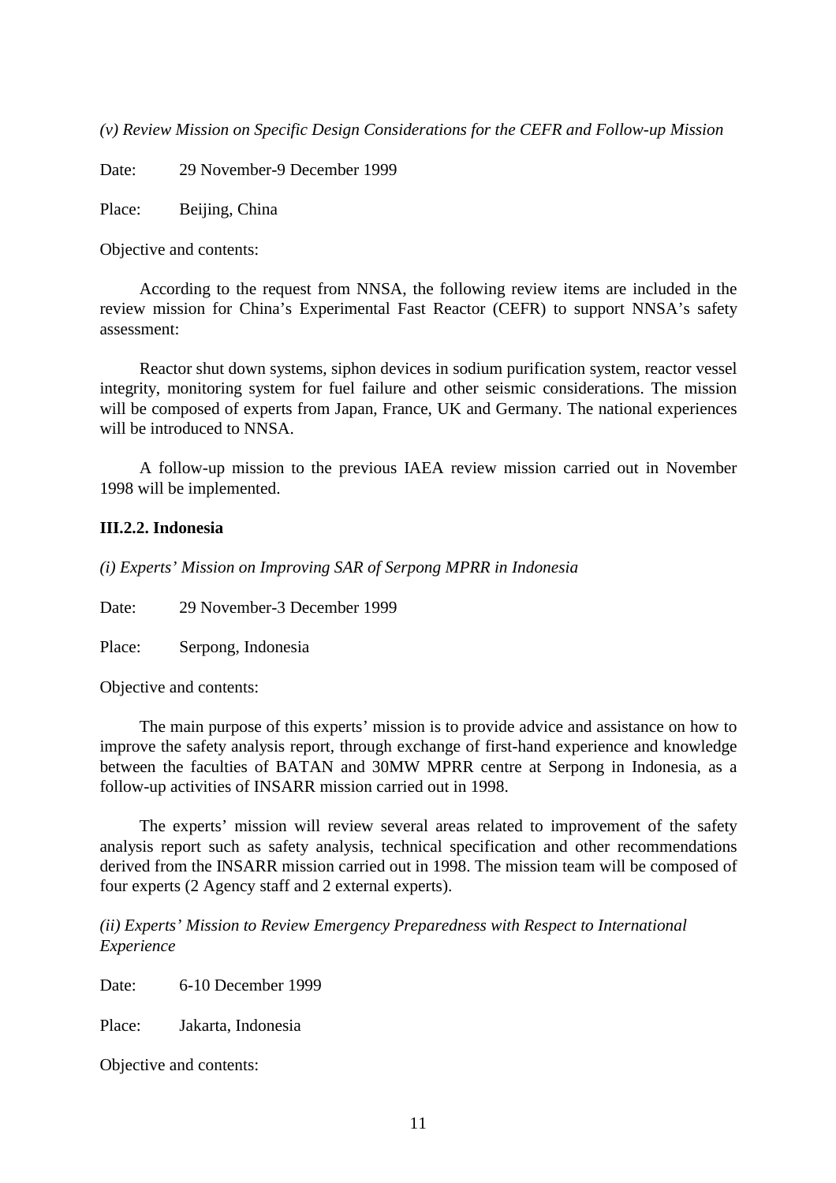*(v) Review Mission on Specific Design Considerations for the CEFR and Follow-up Mission*

Date: 29 November-9 December 1999

Place: Beijing, China

Objective and contents:

According to the request from NNSA, the following review items are included in the review mission for China's Experimental Fast Reactor (CEFR) to support NNSA's safety assessment:

Reactor shut down systems, siphon devices in sodium purification system, reactor vessel integrity, monitoring system for fuel failure and other seismic considerations. The mission will be composed of experts from Japan, France, UK and Germany. The national experiences will be introduced to NNSA.

A follow-up mission to the previous IAEA review mission carried out in November 1998 will be implemented.

### **III.2.2. Indonesia**

*(i) Experts' Mission on Improving SAR of Serpong MPRR in Indonesia*

Date: 29 November-3 December 1999

Place: Serpong, Indonesia

Objective and contents:

The main purpose of this experts' mission is to provide advice and assistance on how to improve the safety analysis report, through exchange of first-hand experience and knowledge between the faculties of BATAN and 30MW MPRR centre at Serpong in Indonesia, as a follow-up activities of INSARR mission carried out in 1998.

The experts' mission will review several areas related to improvement of the safety analysis report such as safety analysis, technical specification and other recommendations derived from the INSARR mission carried out in 1998. The mission team will be composed of four experts (2 Agency staff and 2 external experts).

*(ii) Experts' Mission to Review Emergency Preparedness with Respect to International Experience*

Date: 6-10 December 1999

Place: Jakarta, Indonesia

Objective and contents: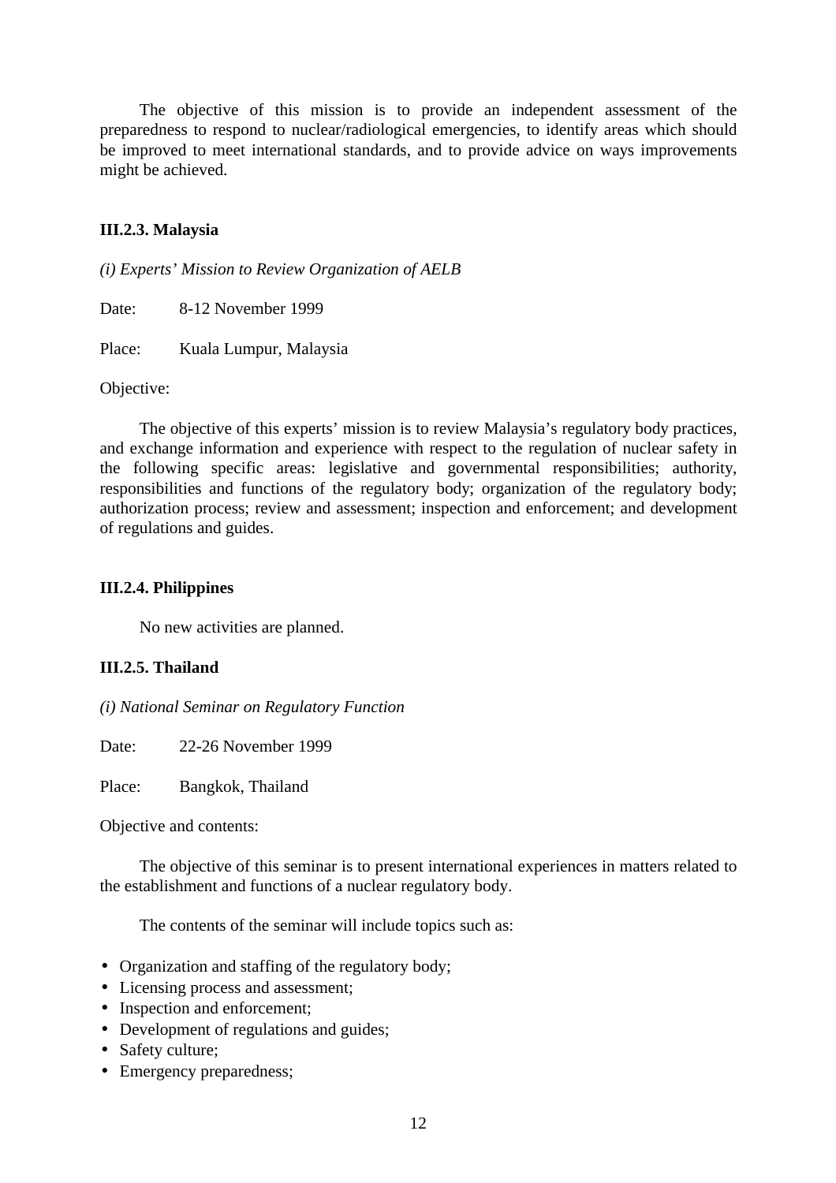The objective of this mission is to provide an independent assessment of the preparedness to respond to nuclear/radiological emergencies, to identify areas which should be improved to meet international standards, and to provide advice on ways improvements might be achieved.

## **III.2.3. Malaysia**

*(i) Experts' Mission to Review Organization of AELB*

Date: 8-12 November 1999

Place: Kuala Lumpur, Malaysia

Objective:

The objective of this experts' mission is to review Malaysia's regulatory body practices, and exchange information and experience with respect to the regulation of nuclear safety in the following specific areas: legislative and governmental responsibilities; authority, responsibilities and functions of the regulatory body; organization of the regulatory body; authorization process; review and assessment; inspection and enforcement; and development of regulations and guides.

### **III.2.4. Philippines**

No new activities are planned.

## **III.2.5. Thailand**

*(i) National Seminar on Regulatory Function*

Date: 22-26 November 1999

Place: Bangkok, Thailand

Objective and contents:

The objective of this seminar is to present international experiences in matters related to the establishment and functions of a nuclear regulatory body.

The contents of the seminar will include topics such as:

- Organization and staffing of the regulatory body;
- Licensing process and assessment;
- Inspection and enforcement;
- Development of regulations and guides;
- Safety culture;
- Emergency preparedness;